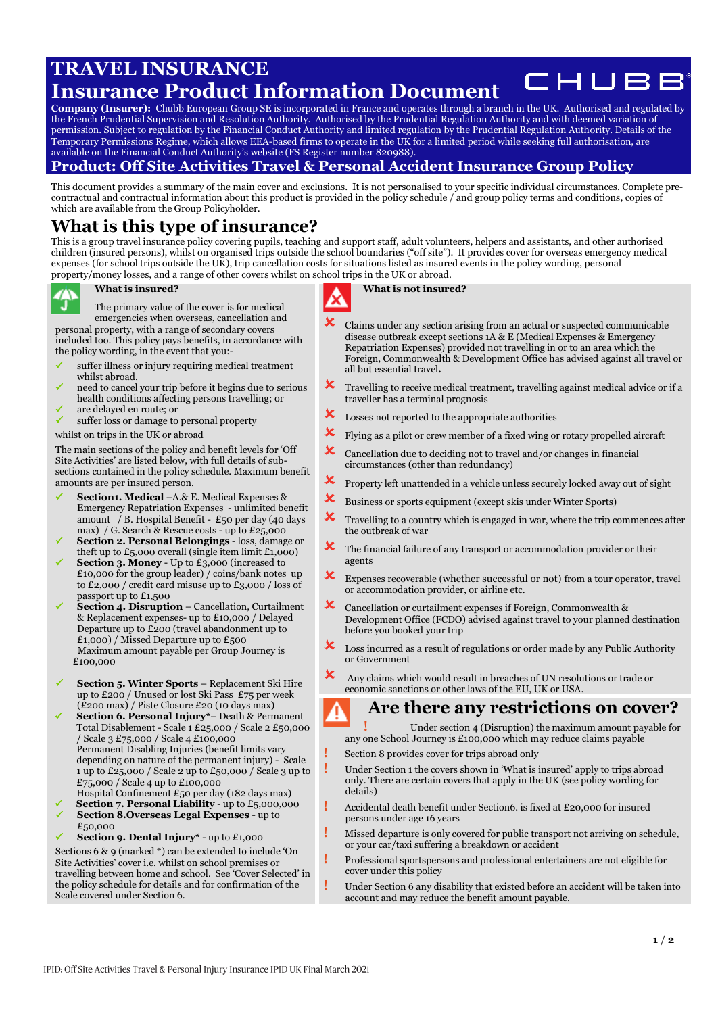# **TRAVEL INSURANCE**

### CHUBE **Insurance Product Information Document**

**Company (Insurer):** Chubb European Group SE is incorporated in France and operates through a branch in the UK. Authorised and regulated by the French Prudential Supervision and Resolution Authority. Authorised by the Prudential Regulation Authority and with deemed variation of permission. Subject to regulation by the Financial Conduct Authority and limited regulation by the Prudential Regulation Authority. Details of the Temporary Permissions Regime, which allows EEA-based firms to operate in the UK for a limited period while seeking full authorisation, are available on the Financial Conduct Authority's website (FS Register number 820988).

### **Product: Off Site Activities Travel & Personal Accident Insurance Group Policy**

This document provides a summary of the main cover and exclusions. It is not personalised to your specific individual circumstances. Complete precontractual and contractual information about this product is provided in the policy schedule / and group policy terms and conditions, copies of which are available from the Group Policyholder.

# **What is this type of insurance?**

This is a group travel insurance policy covering pupils, teaching and support staff, adult volunteers, helpers and assistants, and other authorised children (insured persons), whilst on organised trips outside the school boundaries ("off site"). It provides cover for overseas emergency medical expenses (for school trips outside the UK), trip cancellation costs for situations listed as insured events in the policy wording, personal property/money losses, and a range of other covers whilst on school trips in the UK or abroad.

#### **What is insured?**

The primary value of the cover is for medical emergencies when overseas, cancellation and personal property, with a range of secondary covers

included too. This policy pays benefits, in accordance with the policy wording, in the event that you:-

- suffer illness or injury requiring medical treatment whilst abroad.
- need to cancel your trip before it begins due to serious health conditions affecting persons travelling; or
- ✓ are delayed en route; or
- suffer loss or damage to personal property

#### whilst on trips in the UK or abroad

The main sections of the policy and benefit levels for 'Off Site Activities' are listed below, with full details of subsections contained in the policy schedule. Maximum benefit amounts are per insured person.

- Section1. Medical –A.& E. Medical Expenses & Emergency Repatriation Expenses - unlimited benefit amount / B. Hospital Benefit - £50 per day (40 days max) / G. Search & Rescue costs - up to £25,000
- ✓ **Section 2. Personal Belongings** loss, damage or theft up to  $£5,000$  overall (single item limit  $£1,000$ )
- **Section 3. Money** Up to £3,000 (increased to £10,000 for the group leader) / coins/bank notes up to £2,000 / credit card misuse up to £3,000 / loss of passport up to £1,500
- **Section 4. Disruption Cancellation, Curtailment** & Replacement expenses- up to £10,000 / Delayed Departure up to £200 (travel abandonment up to  $£1,000)$  / Missed Departure up to  $£500$  Maximum amount payable per Group Journey is £100,000
- ✓ **Section 5. Winter Sports** Replacement Ski Hire up to £200 / Unused or lost Ski Pass £75 per week (£200 max) / Piste Closure £20 (10 days max)
- ✓ **Section 6. Personal Injury\*** Death & Permanent Total Disablement - Scale 1 £25,000 / Scale 2 £50,000 / Scale 3 £75,000 / Scale 4 £100,000 Permanent Disabling Injuries (benefit limits vary depending on nature of the permanent injury) - Scale 1 up to £25,000 / Scale 2 up to £50,000 / Scale 3 up to £75,000 / Scale 4 up to £100,000

Hospital Confinement £50 per day (182 days max)

- **Section 7. Personal Liability** up to £5,000,000 ✓ **Section 8.Overseas Legal Expenses** - up to £50,000
- Section 9. Dental Injury<sup>\*</sup> up to £1,000

Sections 6 & 9 (marked \*) can be extended to include 'On Site Activities' cover i.e. whilst on school premises or travelling between home and school. See 'Cover Selected' in the policy schedule for details and for confirmation of the Scale covered under Section 6.

**What is not insured?**

- Claims under any section arising from an actual or suspected communicable disease outbreak except sections 1A & E (Medical Expenses & Emergency Repatriation Expenses) provided not travelling in or to an area which the Foreign, Commonwealth & Development Office has advised against all travel or all but essential travel**.**
- Travelling to receive medical treatment, travelling against medical advice or if a traveller has a terminal prognosis
- **X** Losses not reported to the appropriate authorities
- Flying as a pilot or crew member of a fixed wing or rotary propelled aircraft
- $\mathbf{\times}$  Cancellation due to deciding not to travel and/or changes in financial circumstances (other than redundancy)
- $\mathbf{\times}$  Property left unattended in a vehicle unless securely locked away out of sight
- Business or sports equipment (except skis under Winter Sports)
- $\mathbf{\times}$  Travelling to a country which is engaged in war, where the trip commences after the outbreak of war
- $\mathbf{\times}$  The financial failure of any transport or accommodation provider or their agents
- $\mathbf{\times}$  Expenses recoverable (whether successful or not) from a tour operator, travel or accommodation provider, or airline etc.
- Cancellation or curtailment expenses if Foreign, Commonwealth & Development Office (FCDO) advised against travel to your planned destination before you booked your trip
- $\boldsymbol{\times}$  Loss incurred as a result of regulations or order made by any Public Authority or Government
- $\mathbf{\times}$  Any claims which would result in breaches of UN resolutions or trade or economic sanctions or other laws of the EU, UK or USA.

## **Are there any restrictions on cover?**

- **!** Under section 4 (Disruption) the maximum amount payable for any one School Journey is £100,000 which may reduce claims payable
- **!** Section <sup>8</sup> provides cover for trips abroad only
- Under Section 1 the covers shown in 'What is insured' apply to trips abroad only. There are certain covers that apply in the UK (see policy wording for details)
- **!** Accidental death benefit under Section6. is fixed at £20,000 for insured persons under age 16 years
- **!** Missed departure is only covered for public transport not arriving on schedule, or your car/taxi suffering a breakdown or accident
- **!** Professional sportspersons and professional entertainers are not eligible for cover under this policy
- **!** Under Section 6 any disability that existed before an accident will be taken into account and may reduce the benefit amount payable.